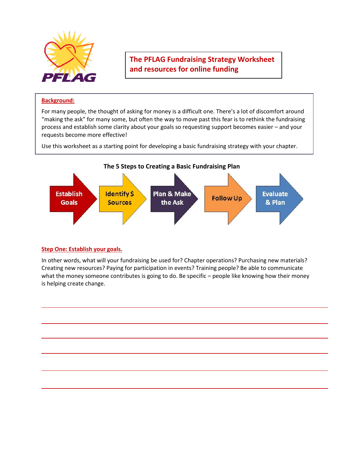

**The PFLAG Fundraising Strategy Worksheet and resources for online funding**

# **Background:**

For many people, the thought of asking for money is a difficult one. There's a lot of discomfort around "making the ask" for many some, but often the way to move past this fear is to rethink the fundraising process and establish some clarity about your goals so requesting support becomes easier – and your requests become more effective!

Use this worksheet as a starting point for developing a basic fundraising strategy with your chapter.



# **Step One: Establish your goals.**

In other words, what will your fundraising be used for? Chapter operations? Purchasing new materials? Creating new resources? Paying for participation in events? Training people? Be able to communicate what the money someone contributes is going to do. Be specific - people like knowing how their money is helping create change.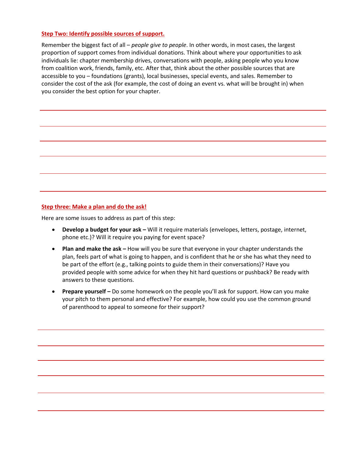## **Step Two: Identify possible sources of support.**

Remember the biggest fact of all – *people give to people*. In other words, in most cases, the largest proportion of support comes from individual donations. Think about where your opportunities to ask individuals lie: chapter membership drives, conversations with people, asking people who you know from coalition work, friends, family, etc. After that, think about the other possible sources that are accessible to you – foundations (grants), local businesses, special events, and sales. Remember to consider the cost of the ask (for example, the cost of doing an event vs. what will be brought in) when you consider the best option for your chapter.

#### **Step three: Make a plan and do the ask!**

Here are some issues to address as part of this step:

- **Develop a budget for your ask –** Will it require materials (envelopes, letters, postage, internet, phone etc.)? Will it require you paying for event space?
- **Plan and make the ask –** How will you be sure that everyone in your chapter understands the plan, feels part of what is going to happen, and is confident that he or she has what they need to be part of the effort (e.g., talking points to guide them in their conversations)? Have you provided people with some advice for when they hit hard questions or pushback? Be ready with answers to these questions.
- **Prepare yourself** Do some homework on the people you'll ask for support. How can you make your pitch to them personal and effective? For example, how could you use the common ground of parenthood to appeal to someone for their support?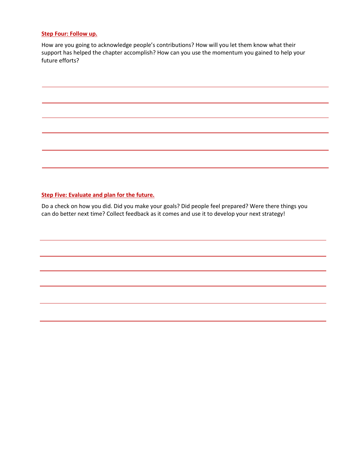#### **Step Four: Follow up.**

How are you going to acknowledge people's contributions? How will you let them know what their support has helped the chapter accomplish? How can you use the momentum you gained to help your future efforts?

# **Step Five: Evaluate and plan for the future.**

Do a check on how you did. Did you make your goals? Did people feel prepared? Were there things you can do better next time? Collect feedback as it comes and use it to develop your next strategy!